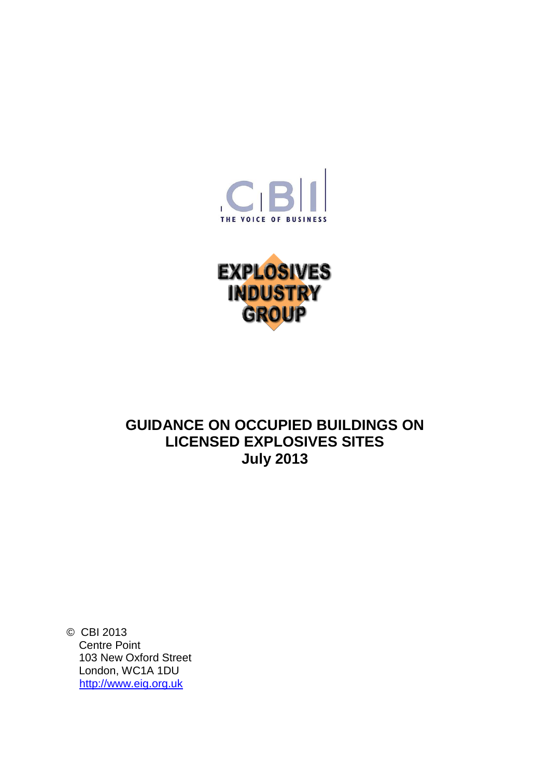



# **GUIDANCE ON OCCUPIED BUILDINGS ON LICENSED EXPLOSIVES SITES July 2013**

© CBI 2013 Centre Point 103 New Oxford Street London, WC1A 1DU [http://www.eig.org.uk](http://www.eig.org.uk/)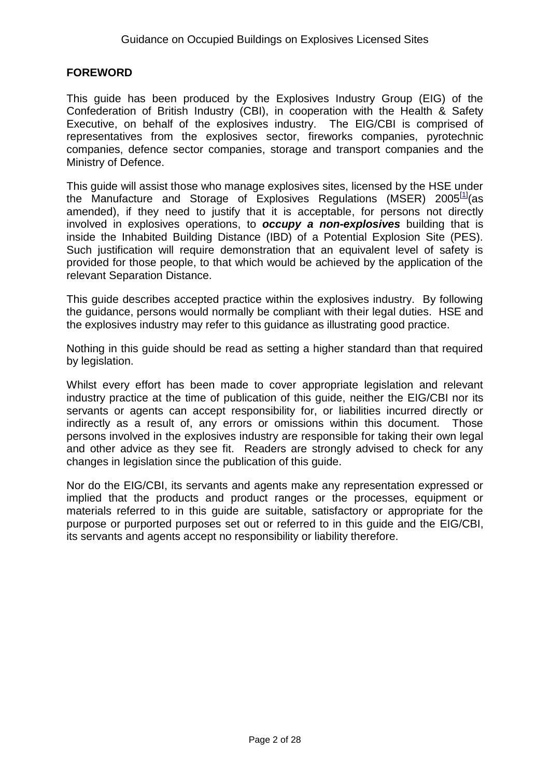#### **FOREWORD**

This guide has been produced by the Explosives Industry Group (EIG) of the Confederation of British Industry (CBI), in cooperation with the Health & Safety Executive, on behalf of the explosives industry. The EIG/CBI is comprised of representatives from the explosives sector, fireworks companies, pyrotechnic companies, defence sector companies, storage and transport companies and the Ministry of Defence.

This guide will assist those who manage explosives sites, licensed by the HSE under the Manufacture and Storage of Explosives Regulations (MSER) 2005<sup>[\[1\]](#page-20-0)</sup>(as amended), if they need to justify that it is acceptable, for persons not directly involved in explosives operations, to *occupy a non-explosives* building that is inside the Inhabited Building Distance (IBD) of a Potential Explosion Site (PES). Such justification will require demonstration that an equivalent level of safety is provided for those people, to that which would be achieved by the application of the relevant Separation Distance.

This guide describes accepted practice within the explosives industry. By following the guidance, persons would normally be compliant with their legal duties. HSE and the explosives industry may refer to this guidance as illustrating good practice.

Nothing in this guide should be read as setting a higher standard than that required by legislation.

Whilst every effort has been made to cover appropriate legislation and relevant industry practice at the time of publication of this guide, neither the EIG/CBI nor its servants or agents can accept responsibility for, or liabilities incurred directly or indirectly as a result of, any errors or omissions within this document. Those persons involved in the explosives industry are responsible for taking their own legal and other advice as they see fit. Readers are strongly advised to check for any changes in legislation since the publication of this guide.

Nor do the EIG/CBI, its servants and agents make any representation expressed or implied that the products and product ranges or the processes, equipment or materials referred to in this guide are suitable, satisfactory or appropriate for the purpose or purported purposes set out or referred to in this guide and the EIG/CBI, its servants and agents accept no responsibility or liability therefore.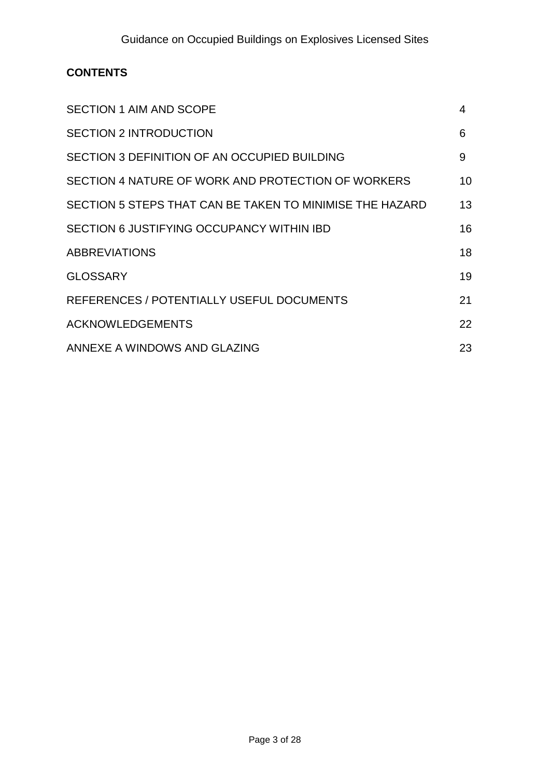## **CONTENTS**

| <b>SECTION 1 AIM AND SCOPE</b>                           | 4  |
|----------------------------------------------------------|----|
| <b>SECTION 2 INTRODUCTION</b>                            | 6  |
| SECTION 3 DEFINITION OF AN OCCUPIED BUILDING             | 9  |
| SECTION 4 NATURE OF WORK AND PROTECTION OF WORKERS       | 10 |
| SECTION 5 STEPS THAT CAN BE TAKEN TO MINIMISE THE HAZARD | 13 |
| SECTION 6 JUSTIFYING OCCUPANCY WITHIN IBD                | 16 |
| <b>ABBREVIATIONS</b>                                     | 18 |
| <b>GLOSSARY</b>                                          | 19 |
| REFERENCES / POTENTIALLY USEFUL DOCUMENTS                | 21 |
| <b>ACKNOWLEDGEMENTS</b>                                  | 22 |
| ANNEXE A WINDOWS AND GLAZING                             | 23 |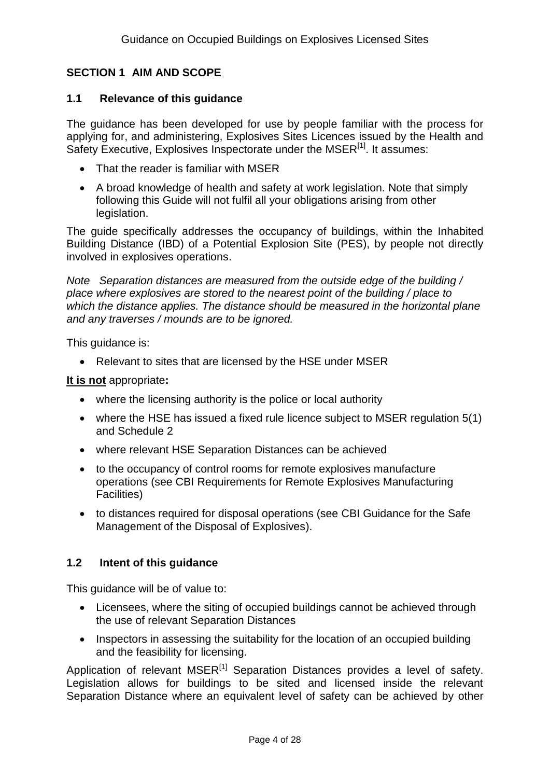## **SECTION 1 AIM AND SCOPE**

#### **1.1 Relevance of this guidance**

The guidance has been developed for use by people familiar with the process for applying for, and administering, Explosives Sites Licences issued by the Health and Safety Executive, Explosives Inspectorate under the MSER<sup>[\[1\]](#page-20-1)</sup>. It assumes:

- That the reader is familiar with MSER
- A broad knowledge of health and safety at work legislation. Note that simply following this Guide will not fulfil all your obligations arising from other legislation.

The guide specifically addresses the occupancy of buildings, within the Inhabited Building Distance (IBD) of a Potential Explosion Site (PES), by people not directly involved in explosives operations.

*Note Separation distances are measured from the outside edge of the building / place where explosives are stored to the nearest point of the building / place to which the distance applies. The distance should be measured in the horizontal plane and any traverses / mounds are to be ignored.*

This quidance is:

• Relevant to sites that are licensed by the HSE under MSER

#### **It is not** appropriate**:**

- where the licensing authority is the police or local authority
- where the HSE has issued a fixed rule licence subject to MSER regulation 5(1) and Schedule 2
- where relevant HSE Separation Distances can be achieved
- to the occupancy of control rooms for remote explosives manufacture operations (see CBI Requirements for Remote Explosives Manufacturing Facilities)
- to distances required for disposal operations (see CBI Guidance for the Safe Management of the Disposal of Explosives).

#### **1.2 Intent of this guidance**

This guidance will be of value to:

- Licensees, where the siting of occupied buildings cannot be achieved through the use of relevant Separation Distances
- Inspectors in assessing the suitability for the location of an occupied building and the feasibility for licensing.

Application of relevant MSER<sup>[\[1\]](#page-20-1)</sup> Separation Distances provides a level of safety. Legislation allows for buildings to be sited and licensed inside the relevant Separation Distance where an equivalent level of safety can be achieved by other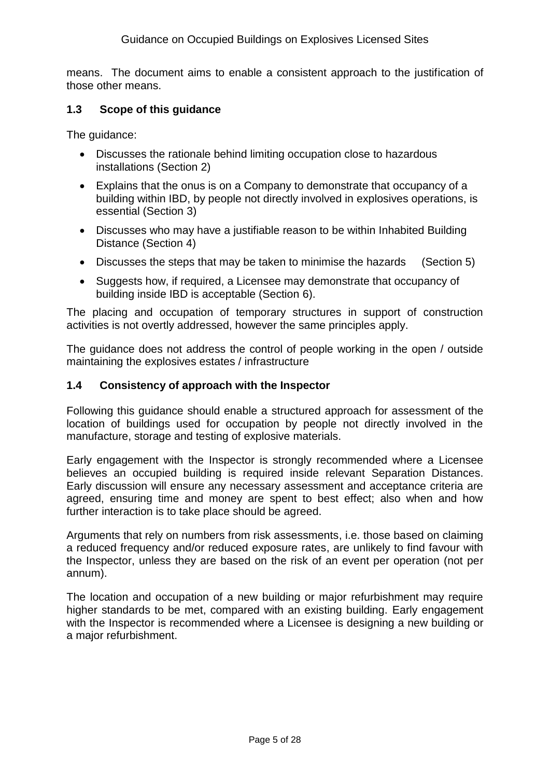means. The document aims to enable a consistent approach to the justification of those other means.

#### **1.3 Scope of this guidance**

The guidance:

- Discusses the rationale behind limiting occupation close to hazardous installations (Section 2)
- Explains that the onus is on a Company to demonstrate that occupancy of a building within IBD, by people not directly involved in explosives operations, is essential (Section 3)
- Discusses who may have a justifiable reason to be within Inhabited Building Distance (Section 4)
- Discusses the steps that may be taken to minimise the hazards (Section 5)
- Suggests how, if required, a Licensee may demonstrate that occupancy of building inside IBD is acceptable (Section 6).

The placing and occupation of temporary structures in support of construction activities is not overtly addressed, however the same principles apply.

The guidance does not address the control of people working in the open / outside maintaining the explosives estates / infrastructure

#### **1.4 Consistency of approach with the Inspector**

Following this guidance should enable a structured approach for assessment of the location of buildings used for occupation by people not directly involved in the manufacture, storage and testing of explosive materials.

Early engagement with the Inspector is strongly recommended where a Licensee believes an occupied building is required inside relevant Separation Distances. Early discussion will ensure any necessary assessment and acceptance criteria are agreed, ensuring time and money are spent to best effect; also when and how further interaction is to take place should be agreed.

Arguments that rely on numbers from risk assessments, i.e. those based on claiming a reduced frequency and/or reduced exposure rates, are unlikely to find favour with the Inspector, unless they are based on the risk of an event per operation (not per annum).

The location and occupation of a new building or major refurbishment may require higher standards to be met, compared with an existing building. Early engagement with the Inspector is recommended where a Licensee is designing a new building or a major refurbishment.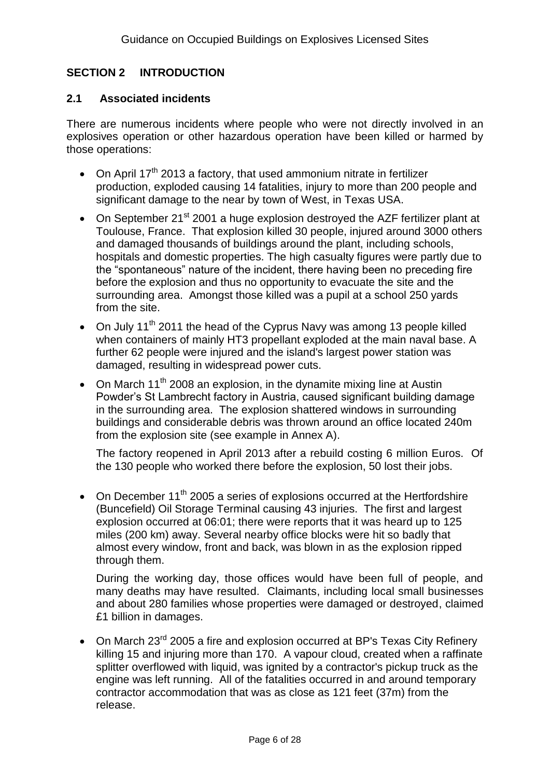## **SECTION 2 INTRODUCTION**

#### **2.1 Associated incidents**

There are numerous incidents where people who were not directly involved in an explosives operation or other hazardous operation have been killed or harmed by those operations:

- On April 17<sup>th</sup> 2013 a factory, that used ammonium nitrate in fertilizer production, exploded causing 14 fatalities, injury to more than 200 people and significant damage to the near by town of West, in Texas USA.
- On September 21 $\mathrm{^{st}}$  2001 a huge explosion destroyed the AZF fertilizer plant at Toulouse, France. That explosion killed 30 people, injured around 3000 others and damaged thousands of buildings around the plant, including schools, hospitals and domestic properties. The high casualty figures were partly due to the "spontaneous" nature of the incident, there having been no preceding fire before the explosion and thus no opportunity to evacuate the site and the surrounding area. Amongst those killed was a pupil at a school 250 yards from the site.
- On July  $11<sup>th</sup>$  2011 the head of the Cyprus Navy was among 13 people killed when containers of mainly HT3 propellant exploded at the main naval base. A further 62 people were injured and the island's largest power station was damaged, resulting in widespread power cuts.
- On March  $11<sup>th</sup>$  2008 an explosion, in the dynamite mixing line at Austin Powder"s St Lambrecht factory in Austria, caused significant building damage in the surrounding area. The explosion shattered windows in surrounding buildings and considerable debris was thrown around an office located 240m from the explosion site (see example in Annex A).

The factory reopened in April 2013 after a rebuild costing 6 million Euros. Of the 130 people who worked there before the explosion, 50 lost their jobs.

• On December  $11<sup>th</sup>$  2005 a series of explosions occurred at the Hertfordshire (Buncefield) Oil Storage Terminal causing 43 injuries. The first and largest explosion occurred at 06:01; there were reports that it was heard up to 125 miles (200 km) away. Several nearby office blocks were hit so badly that almost every window, front and back, was blown in as the explosion ripped through them.

During the working day, those offices would have been full of people, and many deaths may have resulted. Claimants, including local small businesses and about 280 families whose properties were damaged or destroyed, claimed £1 billion in damages.

• On March 23<sup>rd</sup> 2005 a fire and explosion occurred at BP's Texas City Refinery killing 15 and injuring more than 170. A vapour cloud, created when a raffinate splitter overflowed with liquid, was ignited by a contractor's pickup truck as the engine was left running. All of the fatalities occurred in and around temporary contractor accommodation that was as close as 121 feet (37m) from the release.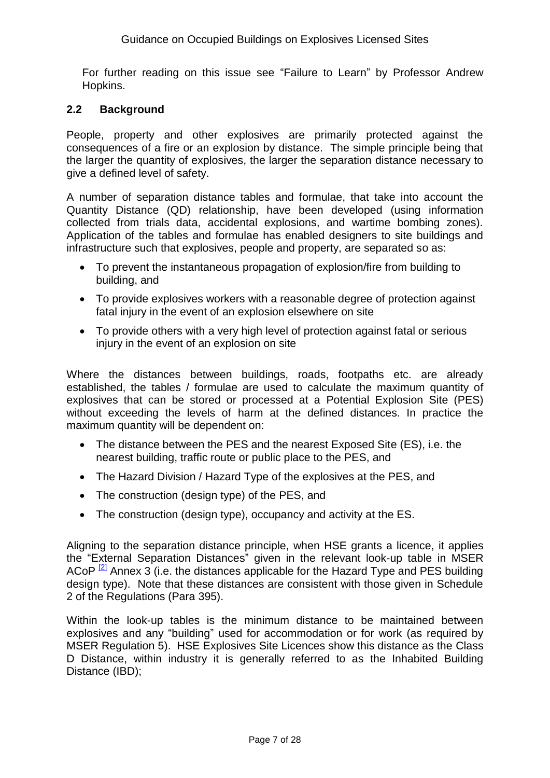For further reading on this issue see "Failure to Learn" by Professor Andrew Hopkins.

#### **2.2 Background**

People, property and other explosives are primarily protected against the consequences of a fire or an explosion by distance. The simple principle being that the larger the quantity of explosives, the larger the separation distance necessary to give a defined level of safety.

A number of separation distance tables and formulae, that take into account the Quantity Distance (QD) relationship, have been developed (using information collected from trials data, accidental explosions, and wartime bombing zones). Application of the tables and formulae has enabled designers to site buildings and infrastructure such that explosives, people and property, are separated so as:

- To prevent the instantaneous propagation of explosion/fire from building to building, and
- To provide explosives workers with a reasonable degree of protection against fatal injury in the event of an explosion elsewhere on site
- To provide others with a very high level of protection against fatal or serious injury in the event of an explosion on site

Where the distances between buildings, roads, footpaths etc. are already established, the tables / formulae are used to calculate the maximum quantity of explosives that can be stored or processed at a Potential Explosion Site (PES) without exceeding the levels of harm at the defined distances. In practice the maximum quantity will be dependent on:

- The distance between the PES and the nearest Exposed Site (ES), i.e. the nearest building, traffic route or public place to the PES, and
- The Hazard Division / Hazard Type of the explosives at the PES, and
- The construction (design type) of the PES, and
- The construction (design type), occupancy and activity at the ES.

Aligning to the separation distance principle, when HSE grants a licence, it applies the "External Separation Distances" given in the relevant look-up table in MSER ACoP  $\frac{2}{2}$  Annex 3 (i.e. the distances applicable for the Hazard Type and PES building design type). Note that these distances are consistent with those given in Schedule 2 of the Regulations (Para 395).

Within the look-up tables is the minimum distance to be maintained between explosives and any "building" used for accommodation or for work (as required by MSER Regulation 5). HSE Explosives Site Licences show this distance as the Class D Distance, within industry it is generally referred to as the Inhabited Building Distance (IBD);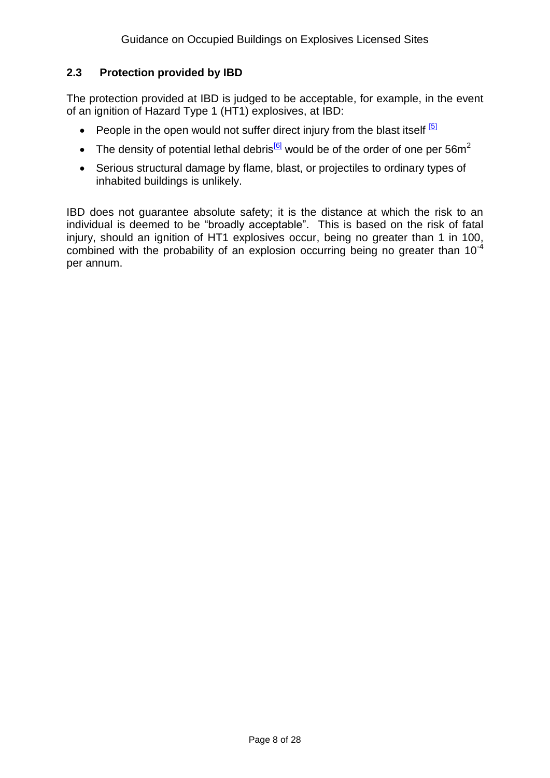## **2.3 Protection provided by IBD**

The protection provided at IBD is judged to be acceptable, for example, in the event of an ignition of Hazard Type 1 (HT1) explosives, at IBD:

- People in the open would not suffer direct injury from the blast itself  $51$
- The density of potential lethal debris<sup>[\[6\]](#page-20-0)</sup> would be of the order of one per 56m<sup>2</sup>
- Serious structural damage by flame, blast, or projectiles to ordinary types of inhabited buildings is unlikely.

IBD does not guarantee absolute safety; it is the distance at which the risk to an individual is deemed to be "broadly acceptable". This is based on the risk of fatal injury, should an ignition of HT1 explosives occur, being no greater than 1 in 100, combined with the probability of an explosion occurring being no greater than  $10^{-4}$ per annum.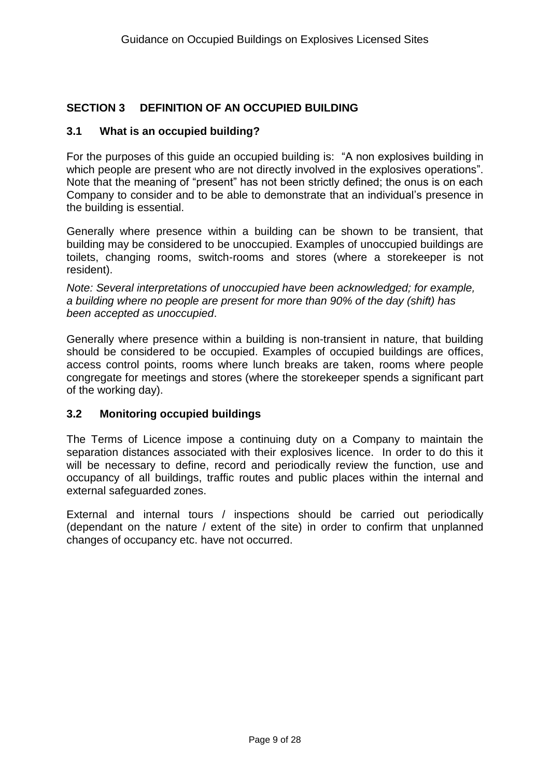## **SECTION 3 DEFINITION OF AN OCCUPIED BUILDING**

#### **3.1 What is an occupied building?**

For the purposes of this guide an occupied building is: "A non explosives building in which people are present who are not directly involved in the explosives operations". Note that the meaning of "present" has not been strictly defined; the onus is on each Company to consider and to be able to demonstrate that an individual"s presence in the building is essential.

Generally where presence within a building can be shown to be transient, that building may be considered to be unoccupied. Examples of unoccupied buildings are toilets, changing rooms, switch-rooms and stores (where a storekeeper is not resident).

*Note: Several interpretations of unoccupied have been acknowledged; for example, a building where no people are present for more than 90% of the day (shift) has been accepted as unoccupied*.

Generally where presence within a building is non-transient in nature, that building should be considered to be occupied. Examples of occupied buildings are offices, access control points, rooms where lunch breaks are taken, rooms where people congregate for meetings and stores (where the storekeeper spends a significant part of the working day).

#### **3.2 Monitoring occupied buildings**

The Terms of Licence impose a continuing duty on a Company to maintain the separation distances associated with their explosives licence. In order to do this it will be necessary to define, record and periodically review the function, use and occupancy of all buildings, traffic routes and public places within the internal and external safeguarded zones.

External and internal tours / inspections should be carried out periodically (dependant on the nature / extent of the site) in order to confirm that unplanned changes of occupancy etc. have not occurred.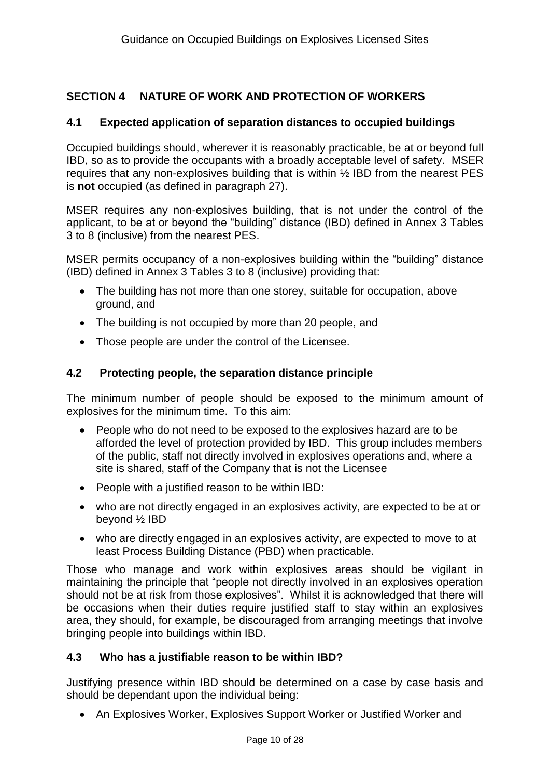## **SECTION 4 NATURE OF WORK AND PROTECTION OF WORKERS**

#### **4.1 Expected application of separation distances to occupied buildings**

Occupied buildings should, wherever it is reasonably practicable, be at or beyond full IBD, so as to provide the occupants with a broadly acceptable level of safety. MSER requires that any non-explosives building that is within ½ IBD from the nearest PES is **not** occupied (as defined in paragraph 27).

MSER requires any non-explosives building, that is not under the control of the applicant, to be at or beyond the "building" distance (IBD) defined in Annex 3 Tables 3 to 8 (inclusive) from the nearest PES.

MSER permits occupancy of a non-explosives building within the "building" distance (IBD) defined in Annex 3 Tables 3 to 8 (inclusive) providing that:

- The building has not more than one storey, suitable for occupation, above ground, and
- The building is not occupied by more than 20 people, and
- Those people are under the control of the Licensee.

#### **4.2 Protecting people, the separation distance principle**

The minimum number of people should be exposed to the minimum amount of explosives for the minimum time. To this aim:

- People who do not need to be exposed to the explosives hazard are to be afforded the level of protection provided by IBD. This group includes members of the public, staff not directly involved in explosives operations and, where a site is shared, staff of the Company that is not the Licensee
- People with a justified reason to be within IBD:
- who are not directly engaged in an explosives activity, are expected to be at or beyond ½ IBD
- who are directly engaged in an explosives activity, are expected to move to at least Process Building Distance (PBD) when practicable.

Those who manage and work within explosives areas should be vigilant in maintaining the principle that "people not directly involved in an explosives operation should not be at risk from those explosives". Whilst it is acknowledged that there will be occasions when their duties require justified staff to stay within an explosives area, they should, for example, be discouraged from arranging meetings that involve bringing people into buildings within IBD.

#### **4.3 Who has a justifiable reason to be within IBD?**

Justifying presence within IBD should be determined on a case by case basis and should be dependant upon the individual being:

• An Explosives Worker, Explosives Support Worker or Justified Worker and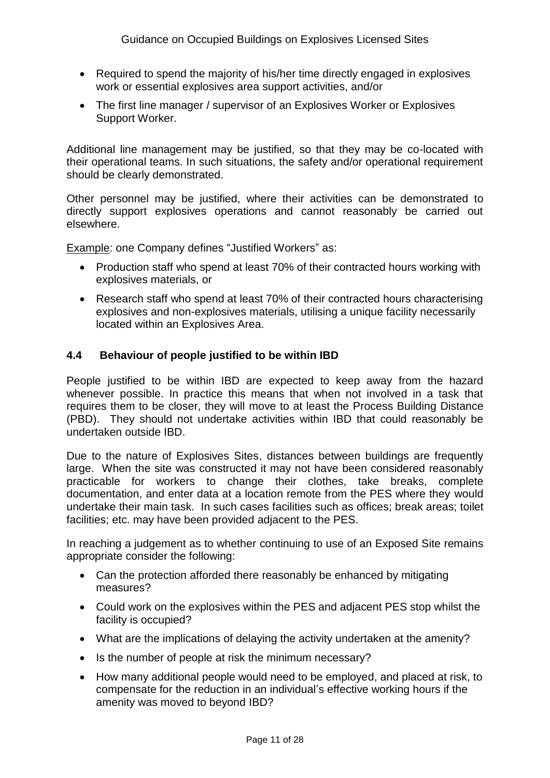- Required to spend the majority of his/her time directly engaged in explosives work or essential explosives area support activities, and/or
- The first line manager / supervisor of an Explosives Worker or Explosives Support Worker.

Additional line management may be justified, so that they may be co-located with their operational teams. In such situations, the safety and/or operational requirement should be clearly demonstrated.

Other personnel may be justified, where their activities can be demonstrated to directly support explosives operations and cannot reasonably be carried out elsewhere.

Example: one Company defines "Justified Workers" as:

- Production staff who spend at least 70% of their contracted hours working with explosives materials, or
- Research staff who spend at least 70% of their contracted hours characterising explosives and non-explosives materials, utilising a unique facility necessarily located within an Explosives Area.

#### **4.4 Behaviour of people justified to be within IBD**

People justified to be within IBD are expected to keep away from the hazard whenever possible. In practice this means that when not involved in a task that requires them to be closer, they will move to at least the Process Building Distance (PBD). They should not undertake activities within IBD that could reasonably be undertaken outside IBD.

Due to the nature of Explosives Sites, distances between buildings are frequently large. When the site was constructed it may not have been considered reasonably practicable for workers to change their clothes, take breaks, complete documentation, and enter data at a location remote from the PES where they would undertake their main task. In such cases facilities such as offices; break areas; toilet facilities; etc. may have been provided adjacent to the PES.

In reaching a judgement as to whether continuing to use of an Exposed Site remains appropriate consider the following:

- Can the protection afforded there reasonably be enhanced by mitigating measures?
- Could work on the explosives within the PES and adjacent PES stop whilst the facility is occupied?
- What are the implications of delaying the activity undertaken at the amenity?
- Is the number of people at risk the minimum necessary?
- How many additional people would need to be employed, and placed at risk, to compensate for the reduction in an individual"s effective working hours if the amenity was moved to beyond IBD?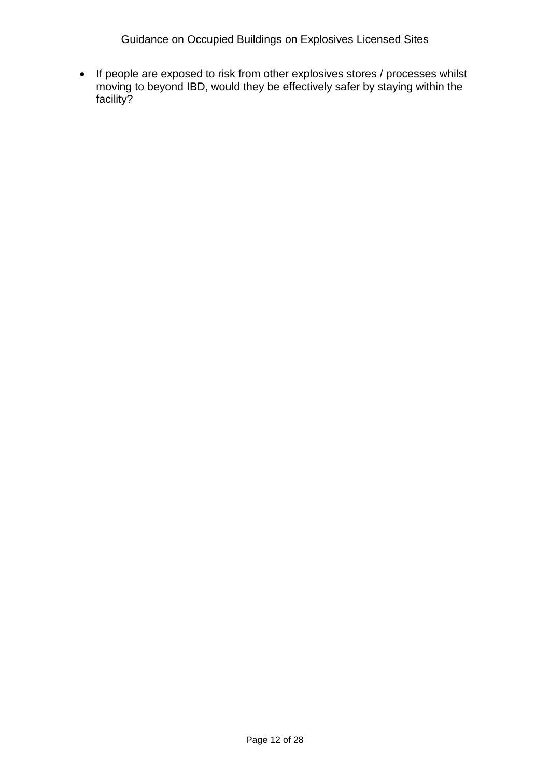Guidance on Occupied Buildings on Explosives Licensed Sites

• If people are exposed to risk from other explosives stores / processes whilst moving to beyond IBD, would they be effectively safer by staying within the facility?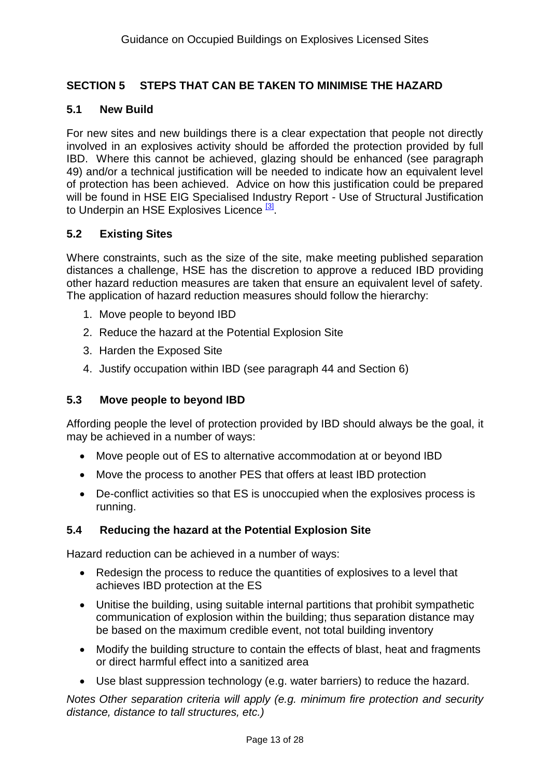## **SECTION 5 STEPS THAT CAN BE TAKEN TO MINIMISE THE HAZARD**

#### **5.1 New Build**

For new sites and new buildings there is a clear expectation that people not directly involved in an explosives activity should be afforded the protection provided by full IBD. Where this cannot be achieved, glazing should be enhanced (see paragraph 49) and/or a technical justification will be needed to indicate how an equivalent level of protection has been achieved. Advice on how this justification could be prepared will be found in HSE EIG Specialised Industry Report - Use of Structural Justification to Underpin an HSE Explosives Licence<sup>[\[3\]](#page-20-0)</sup>.

#### **5.2 Existing Sites**

Where constraints, such as the size of the site, make meeting published separation distances a challenge, HSE has the discretion to approve a reduced IBD providing other hazard reduction measures are taken that ensure an equivalent level of safety. The application of hazard reduction measures should follow the hierarchy:

- 1. Move people to beyond IBD
- 2. Reduce the hazard at the Potential Explosion Site
- 3. Harden the Exposed Site
- 4. Justify occupation within IBD (see paragraph 44 and Section 6)

#### **5.3 Move people to beyond IBD**

Affording people the level of protection provided by IBD should always be the goal, it may be achieved in a number of ways:

- Move people out of ES to alternative accommodation at or beyond IBD
- Move the process to another PES that offers at least IBD protection
- De-conflict activities so that ES is unoccupied when the explosives process is running.

#### **5.4 Reducing the hazard at the Potential Explosion Site**

Hazard reduction can be achieved in a number of ways:

- Redesign the process to reduce the quantities of explosives to a level that achieves IBD protection at the ES
- Unitise the building, using suitable internal partitions that prohibit sympathetic communication of explosion within the building; thus separation distance may be based on the maximum credible event, not total building inventory
- Modify the building structure to contain the effects of blast, heat and fragments or direct harmful effect into a sanitized area
- Use blast suppression technology (e.g. water barriers) to reduce the hazard.

*Notes Other separation criteria will apply (e.g. minimum fire protection and security distance, distance to tall structures, etc.)*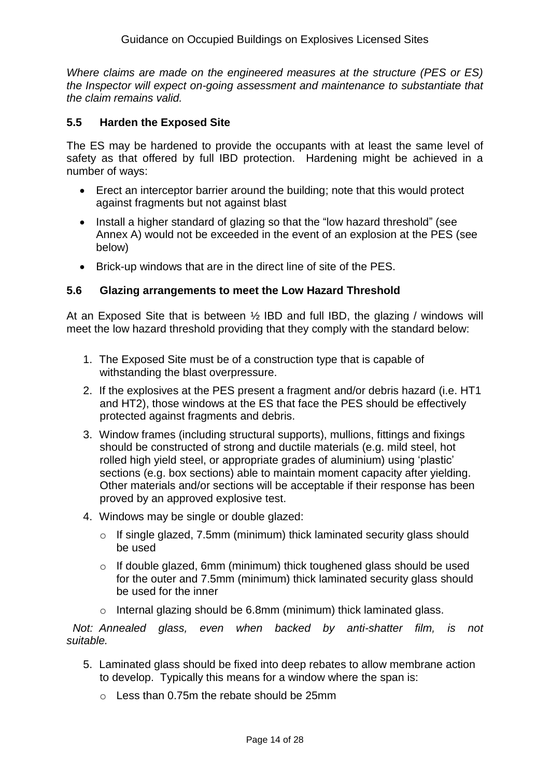*Where claims are made on the engineered measures at the structure (PES or ES) the Inspector will expect on-going assessment and maintenance to substantiate that the claim remains valid.* 

#### **5.5 Harden the Exposed Site**

The ES may be hardened to provide the occupants with at least the same level of safety as that offered by full IBD protection. Hardening might be achieved in a number of ways:

- Erect an interceptor barrier around the building; note that this would protect against fragments but not against blast
- Install a higher standard of glazing so that the "low hazard threshold" (see Annex A) would not be exceeded in the event of an explosion at the PES (see below)
- Brick-up windows that are in the direct line of site of the PES.

## **5.6 Glazing arrangements to meet the Low Hazard Threshold**

At an Exposed Site that is between  $\frac{1}{2}$  IBD and full IBD, the glazing / windows will meet the low hazard threshold providing that they comply with the standard below:

- 1. The Exposed Site must be of a construction type that is capable of withstanding the blast overpressure.
- 2. If the explosives at the PES present a fragment and/or debris hazard (i.e. HT1 and HT2), those windows at the ES that face the PES should be effectively protected against fragments and debris.
- 3. Window frames (including structural supports), mullions, fittings and fixings should be constructed of strong and ductile materials (e.g. mild steel, hot rolled high yield steel, or appropriate grades of aluminium) using "plastic" sections (e.g. box sections) able to maintain moment capacity after yielding. Other materials and/or sections will be acceptable if their response has been proved by an approved explosive test.
- 4. Windows may be single or double glazed:
	- o If single glazed, 7.5mm (minimum) thick laminated security glass should be used
	- o If double glazed, 6mm (minimum) thick toughened glass should be used for the outer and 7.5mm (minimum) thick laminated security glass should be used for the inner
	- o Internal glazing should be 6.8mm (minimum) thick laminated glass.

 *Not: Annealed glass, even when backed by anti-shatter film, is not suitable.*

- 5. Laminated glass should be fixed into deep rebates to allow membrane action to develop. Typically this means for a window where the span is:
	- $\circ$  Less than 0.75m the rebate should be 25mm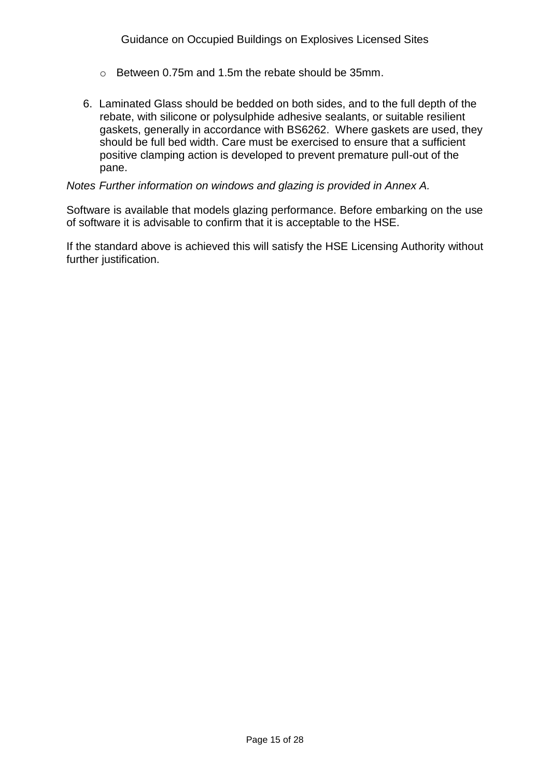- o Between 0.75m and 1.5m the rebate should be 35mm.
- 6. Laminated Glass should be bedded on both sides, and to the full depth of the rebate, with silicone or polysulphide adhesive sealants, or suitable resilient gaskets, generally in accordance with BS6262. Where gaskets are used, they should be full bed width. Care must be exercised to ensure that a sufficient positive clamping action is developed to prevent premature pull-out of the pane.

#### *Notes Further information on windows and glazing is provided in Annex A.*

Software is available that models glazing performance. Before embarking on the use of software it is advisable to confirm that it is acceptable to the HSE.

If the standard above is achieved this will satisfy the HSE Licensing Authority without further justification.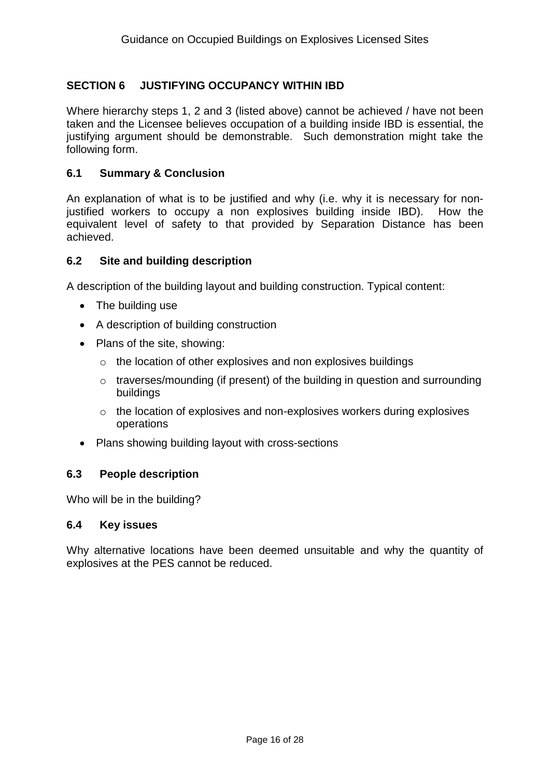## **SECTION 6 JUSTIFYING OCCUPANCY WITHIN IBD**

Where hierarchy steps 1, 2 and 3 (listed above) cannot be achieved / have not been taken and the Licensee believes occupation of a building inside IBD is essential, the justifying argument should be demonstrable. Such demonstration might take the following form.

#### **6.1 Summary & Conclusion**

An explanation of what is to be justified and why (i.e. why it is necessary for nonjustified workers to occupy a non explosives building inside IBD). How the equivalent level of safety to that provided by Separation Distance has been achieved.

#### **6.2 Site and building description**

A description of the building layout and building construction. Typical content:

- The building use
- A description of building construction
- Plans of the site, showing:
	- o the location of other explosives and non explosives buildings
	- o traverses/mounding (if present) of the building in question and surrounding buildings
	- o the location of explosives and non-explosives workers during explosives operations
- Plans showing building layout with cross-sections

#### **6.3 People description**

Who will be in the building?

#### **6.4 Key issues**

Why alternative locations have been deemed unsuitable and why the quantity of explosives at the PES cannot be reduced.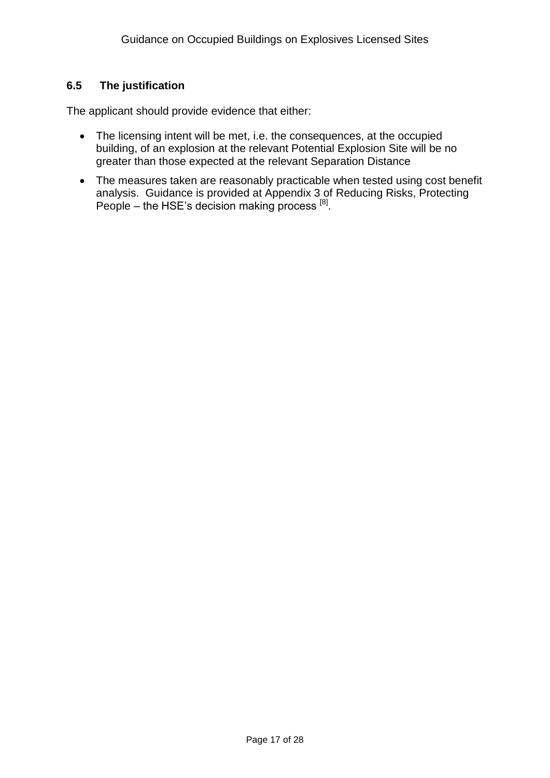## **6.5 The justification**

The applicant should provide evidence that either:

- The licensing intent will be met, i.e. the consequences, at the occupied building, of an explosion at the relevant Potential Explosion Site will be no greater than those expected at the relevant Separation Distance
- The measures taken are reasonably practicable when tested using cost benefit analysis. Guidance is provided at Appendix 3 of Reducing Risks, Protecting People  $-$  the HSE's decision making process  $[8]$ .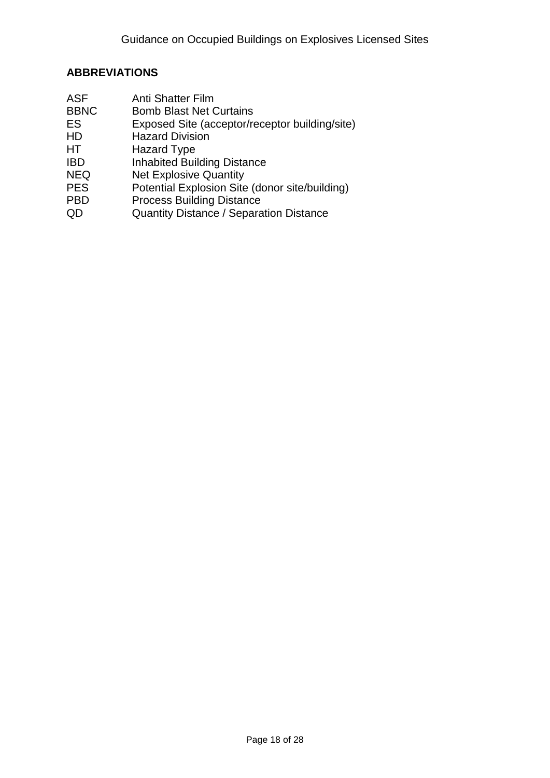### **ABBREVIATIONS**

- ASF Anti Shatter Film
- BBNC Bomb Blast Net Curtains<br>ES Exposed Site (acceptor/re
- Exposed Site (acceptor/receptor building/site)
- HD Hazard Division
- HT Hazard Type
- **IBD** Inhabited Building Distance
- NEQ Net Explosive Quantity<br>
PES Potential Explosion Site
- Potential Explosion Site (donor site/building)
- PBD Process Building Distance
- QD Quantity Distance / Separation Distance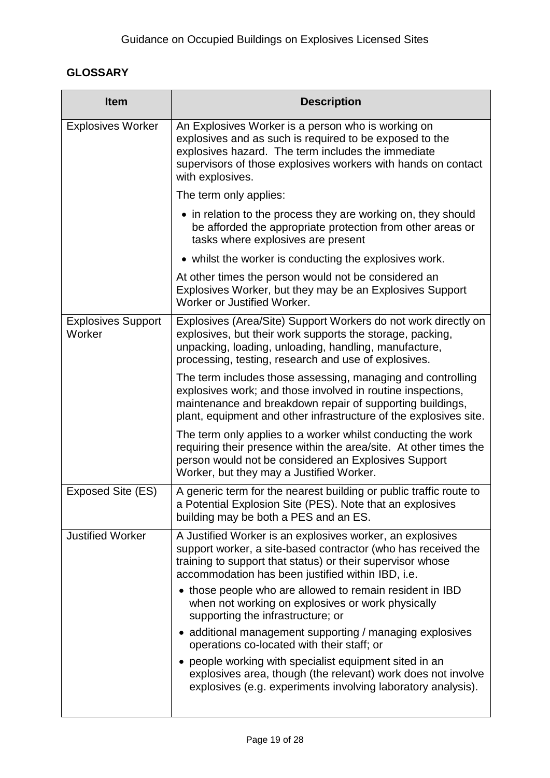## **GLOSSARY**

| <b>Item</b>                         | <b>Description</b>                                                                                                                                                                                                                                           |
|-------------------------------------|--------------------------------------------------------------------------------------------------------------------------------------------------------------------------------------------------------------------------------------------------------------|
| <b>Explosives Worker</b>            | An Explosives Worker is a person who is working on<br>explosives and as such is required to be exposed to the<br>explosives hazard. The term includes the immediate<br>supervisors of those explosives workers with hands on contact<br>with explosives.     |
|                                     | The term only applies:                                                                                                                                                                                                                                       |
|                                     | • in relation to the process they are working on, they should<br>be afforded the appropriate protection from other areas or<br>tasks where explosives are present                                                                                            |
|                                     | • whilst the worker is conducting the explosives work.                                                                                                                                                                                                       |
|                                     | At other times the person would not be considered an<br>Explosives Worker, but they may be an Explosives Support<br>Worker or Justified Worker.                                                                                                              |
| <b>Explosives Support</b><br>Worker | Explosives (Area/Site) Support Workers do not work directly on<br>explosives, but their work supports the storage, packing,<br>unpacking, loading, unloading, handling, manufacture,<br>processing, testing, research and use of explosives.                 |
|                                     | The term includes those assessing, managing and controlling<br>explosives work; and those involved in routine inspections,<br>maintenance and breakdown repair of supporting buildings,<br>plant, equipment and other infrastructure of the explosives site. |
|                                     | The term only applies to a worker whilst conducting the work<br>requiring their presence within the area/site. At other times the<br>person would not be considered an Explosives Support<br>Worker, but they may a Justified Worker.                        |
| Exposed Site (ES)                   | A generic term for the nearest building or public traffic route to<br>a Potential Explosion Site (PES). Note that an explosives<br>building may be both a PES and an ES.                                                                                     |
| <b>Justified Worker</b>             | A Justified Worker is an explosives worker, an explosives<br>support worker, a site-based contractor (who has received the<br>training to support that status) or their supervisor whose<br>accommodation has been justified within IBD, i.e.                |
|                                     | • those people who are allowed to remain resident in IBD<br>when not working on explosives or work physically<br>supporting the infrastructure; or                                                                                                           |
|                                     | • additional management supporting / managing explosives<br>operations co-located with their staff; or                                                                                                                                                       |
|                                     | • people working with specialist equipment sited in an<br>explosives area, though (the relevant) work does not involve<br>explosives (e.g. experiments involving laboratory analysis).                                                                       |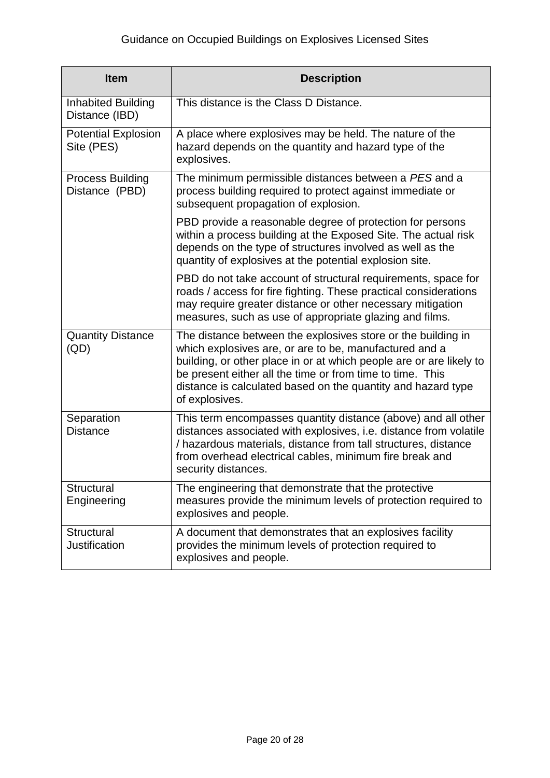| <b>Item</b>                                 | <b>Description</b>                                                                                                                                                                                                                                                                                                                           |
|---------------------------------------------|----------------------------------------------------------------------------------------------------------------------------------------------------------------------------------------------------------------------------------------------------------------------------------------------------------------------------------------------|
| <b>Inhabited Building</b><br>Distance (IBD) | This distance is the Class D Distance.                                                                                                                                                                                                                                                                                                       |
| <b>Potential Explosion</b><br>Site (PES)    | A place where explosives may be held. The nature of the<br>hazard depends on the quantity and hazard type of the<br>explosives.                                                                                                                                                                                                              |
| <b>Process Building</b><br>Distance (PBD)   | The minimum permissible distances between a PES and a<br>process building required to protect against immediate or<br>subsequent propagation of explosion.                                                                                                                                                                                   |
|                                             | PBD provide a reasonable degree of protection for persons<br>within a process building at the Exposed Site. The actual risk<br>depends on the type of structures involved as well as the<br>quantity of explosives at the potential explosion site.                                                                                          |
|                                             | PBD do not take account of structural requirements, space for<br>roads / access for fire fighting. These practical considerations<br>may require greater distance or other necessary mitigation<br>measures, such as use of appropriate glazing and films.                                                                                   |
| <b>Quantity Distance</b><br>(QD)            | The distance between the explosives store or the building in<br>which explosives are, or are to be, manufactured and a<br>building, or other place in or at which people are or are likely to<br>be present either all the time or from time to time. This<br>distance is calculated based on the quantity and hazard type<br>of explosives. |
| Separation<br><b>Distance</b>               | This term encompasses quantity distance (above) and all other<br>distances associated with explosives, i.e. distance from volatile<br>/ hazardous materials, distance from tall structures, distance<br>from overhead electrical cables, minimum fire break and<br>security distances.                                                       |
| <b>Structural</b><br>Engineering            | The engineering that demonstrate that the protective<br>measures provide the minimum levels of protection required to<br>explosives and people.                                                                                                                                                                                              |
| Structural<br><b>Justification</b>          | A document that demonstrates that an explosives facility<br>provides the minimum levels of protection required to<br>explosives and people.                                                                                                                                                                                                  |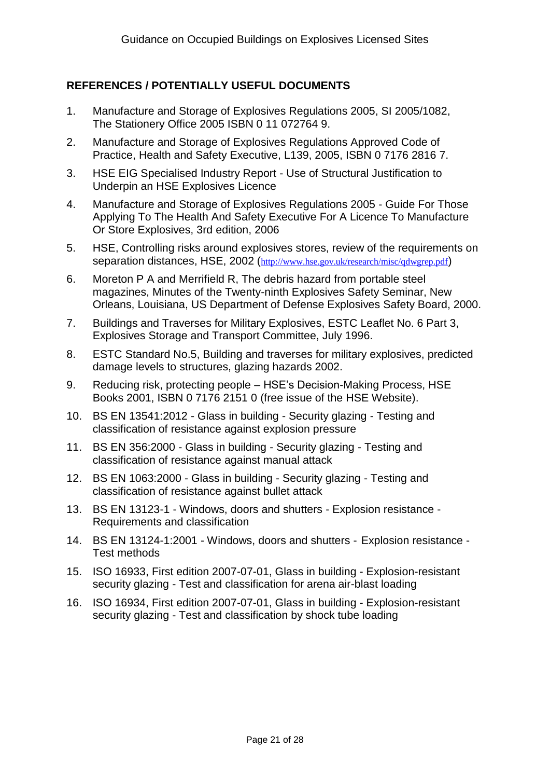## <span id="page-20-0"></span>**REFERENCES / POTENTIALLY USEFUL DOCUMENTS**

- <span id="page-20-1"></span>1. Manufacture and Storage of Explosives Regulations 2005, SI 2005/1082, The Stationery Office 2005 ISBN 0 11 072764 9.
- 2. Manufacture and Storage of Explosives Regulations Approved Code of Practice, Health and Safety Executive, L139, 2005, ISBN 0 7176 2816 7.
- 3. HSE EIG Specialised Industry Report Use of Structural Justification to Underpin an HSE Explosives Licence
- 4. Manufacture and Storage of Explosives Regulations 2005 Guide For Those Applying To The Health And Safety Executive For A Licence To Manufacture Or Store Explosives, 3rd edition, 2006
- 5. HSE, Controlling risks around explosives stores, review of the requirements on separation distances, HSE, 2002 (<http://www.hse.gov.uk/research/misc/qdwgrep.pdf>)
- 6. Moreton P A and Merrifield R, The debris hazard from portable steel magazines, Minutes of the Twenty-ninth Explosives Safety Seminar, New Orleans, Louisiana, US Department of Defense Explosives Safety Board, 2000.
- 7. Buildings and Traverses for Military Explosives, ESTC Leaflet No. 6 Part 3, Explosives Storage and Transport Committee, July 1996.
- 8. ESTC Standard No.5, Building and traverses for military explosives, predicted damage levels to structures, glazing hazards 2002.
- 9. Reducing risk, protecting people HSE"s Decision-Making Process, HSE Books 2001, ISBN 0 7176 2151 0 (free issue of the HSE Website).
- 10. BS EN 13541:2012 Glass in building Security glazing Testing and classification of resistance against explosion pressure
- 11. BS EN 356:2000 Glass in building Security glazing Testing and classification of resistance against manual attack
- 12. BS EN 1063:2000 Glass in building Security glazing Testing and classification of resistance against bullet attack
- 13. BS EN 13123-1 Windows, doors and shutters Explosion resistance Requirements and classification
- 14. BS EN 13124-1:2001 Windows, doors and shutters Explosion resistance Test methods
- 15. ISO 16933, First edition 2007-07-01, Glass in building Explosion-resistant security glazing - Test and classification for arena air-blast loading
- 16. ISO 16934, First edition 2007-07-01, Glass in building Explosion-resistant security glazing - Test and classification by shock tube loading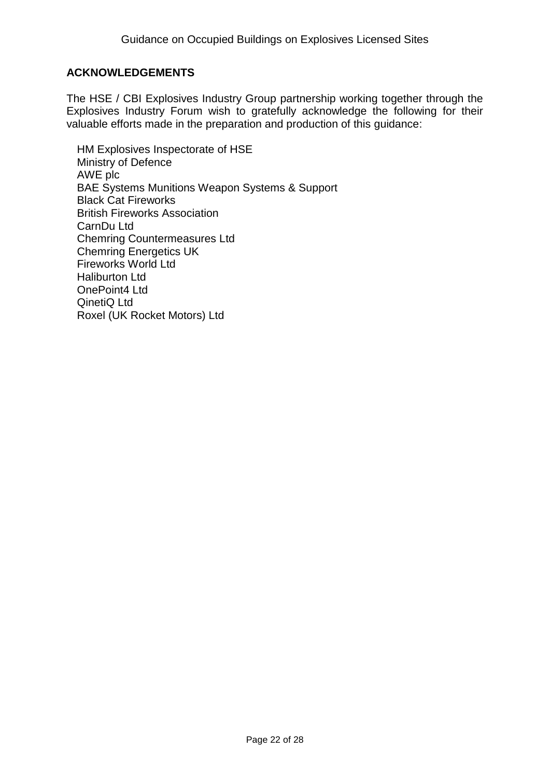## **ACKNOWLEDGEMENTS**

The HSE / CBI Explosives Industry Group partnership working together through the Explosives Industry Forum wish to gratefully acknowledge the following for their valuable efforts made in the preparation and production of this guidance:

HM Explosives Inspectorate of HSE Ministry of Defence AWE plc BAE Systems Munitions Weapon Systems & Support Black Cat Fireworks British Fireworks Association CarnDu Ltd Chemring Countermeasures Ltd Chemring Energetics UK Fireworks World Ltd Haliburton Ltd OnePoint4 Ltd QinetiQ Ltd Roxel (UK Rocket Motors) Ltd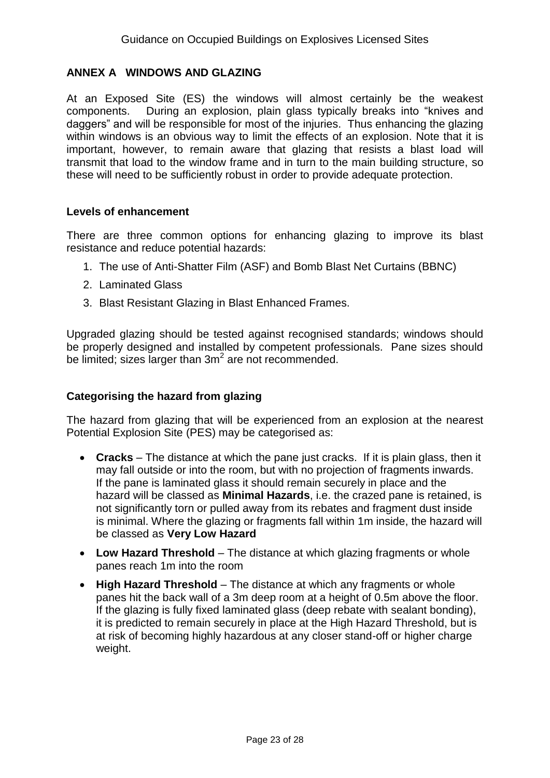## **ANNEX A WINDOWS AND GLAZING**

At an Exposed Site (ES) the windows will almost certainly be the weakest components. During an explosion, plain glass typically breaks into "knives and daggers" and will be responsible for most of the injuries. Thus enhancing the glazing within windows is an obvious way to limit the effects of an explosion. Note that it is important, however, to remain aware that glazing that resists a blast load will transmit that load to the window frame and in turn to the main building structure, so these will need to be sufficiently robust in order to provide adequate protection.

#### **Levels of enhancement**

There are three common options for enhancing glazing to improve its blast resistance and reduce potential hazards:

- 1. The use of Anti-Shatter Film (ASF) and Bomb Blast Net Curtains (BBNC)
- 2. Laminated Glass
- 3. Blast Resistant Glazing in Blast Enhanced Frames.

Upgraded glazing should be tested against recognised standards; windows should be properly designed and installed by competent professionals. Pane sizes should be limited; sizes larger than 3m<sup>2</sup> are not recommended.

#### **Categorising the hazard from glazing**

The hazard from glazing that will be experienced from an explosion at the nearest Potential Explosion Site (PES) may be categorised as:

- **Cracks** The distance at which the pane just cracks. If it is plain glass, then it may fall outside or into the room, but with no projection of fragments inwards. If the pane is laminated glass it should remain securely in place and the hazard will be classed as **Minimal Hazards**, i.e. the crazed pane is retained, is not significantly torn or pulled away from its rebates and fragment dust inside is minimal. Where the glazing or fragments fall within 1m inside, the hazard will be classed as **Very Low Hazard**
- **Low Hazard Threshold** The distance at which glazing fragments or whole panes reach 1m into the room
- High Hazard Threshold The distance at which any fragments or whole panes hit the back wall of a 3m deep room at a height of 0.5m above the floor. If the glazing is fully fixed laminated glass (deep rebate with sealant bonding), it is predicted to remain securely in place at the High Hazard Threshold, but is at risk of becoming highly hazardous at any closer stand-off or higher charge weight.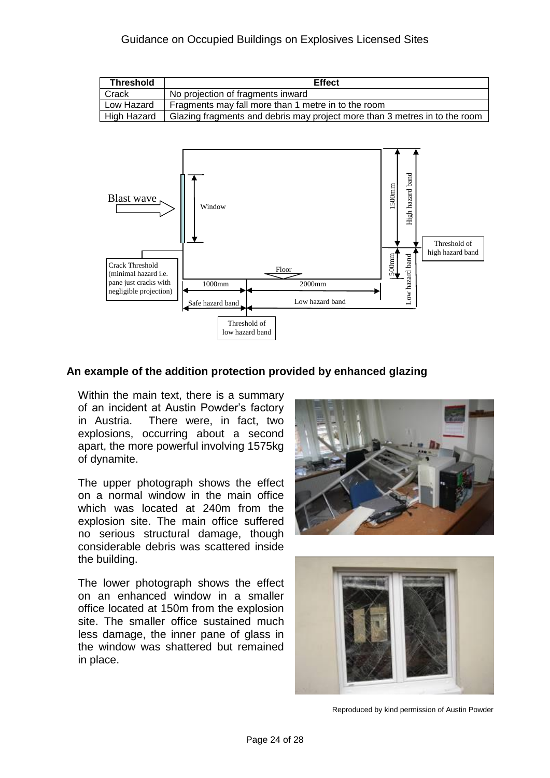#### Guidance on Occupied Buildings on Explosives Licensed Sites

| <b>Threshold</b>   | <b>Effect</b>                                                              |
|--------------------|----------------------------------------------------------------------------|
| Crack              | No projection of fragments inward                                          |
| Low Hazard         | Fragments may fall more than 1 metre in to the room                        |
| <b>High Hazard</b> | Glazing fragments and debris may project more than 3 metres in to the room |



#### **An example of the addition protection provided by enhanced glazing**

Within the main text, there is a summary of an incident at Austin Powder"s factory in Austria. There were, in fact, two explosions, occurring about a second apart, the more powerful involving 1575kg of dynamite.

The upper photograph shows the effect on a normal window in the main office which was located at 240m from the explosion site. The main office suffered no serious structural damage, though considerable debris was scattered inside the building.

The lower photograph shows the effect on an enhanced window in a smaller office located at 150m from the explosion site. The smaller office sustained much less damage, the inner pane of glass in the window was shattered but remained in place.





Reproduced by kind permission of Austin Powder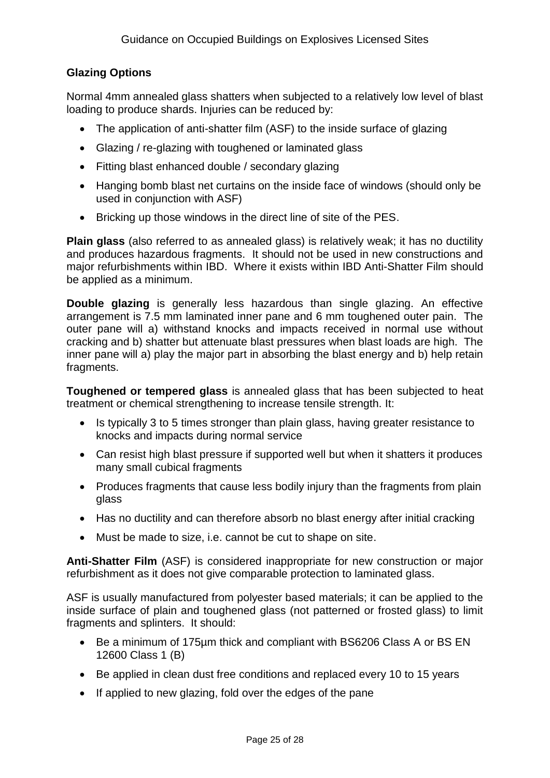## **Glazing Options**

Normal 4mm annealed glass shatters when subjected to a relatively low level of blast loading to produce shards. Injuries can be reduced by:

- The application of anti-shatter film (ASF) to the inside surface of glazing
- Glazing / re-glazing with toughened or laminated glass
- Fitting blast enhanced double / secondary glazing
- Hanging bomb blast net curtains on the inside face of windows (should only be used in conjunction with ASF)
- Bricking up those windows in the direct line of site of the PES.

**Plain glass** (also referred to as annealed glass) is relatively weak; it has no ductility and produces hazardous fragments. It should not be used in new constructions and major refurbishments within IBD. Where it exists within IBD Anti-Shatter Film should be applied as a minimum.

**Double glazing** is generally less hazardous than single glazing. An effective arrangement is 7.5 mm laminated inner pane and 6 mm toughened outer pain. The outer pane will a) withstand knocks and impacts received in normal use without cracking and b) shatter but attenuate blast pressures when blast loads are high. The inner pane will a) play the major part in absorbing the blast energy and b) help retain fragments.

**Toughened or tempered glass** is annealed glass that has been subjected to heat treatment or chemical strengthening to increase tensile strength. It:

- Is typically 3 to 5 times stronger than plain glass, having greater resistance to knocks and impacts during normal service
- Can resist high blast pressure if supported well but when it shatters it produces many small cubical fragments
- Produces fragments that cause less bodily injury than the fragments from plain glass
- Has no ductility and can therefore absorb no blast energy after initial cracking
- Must be made to size, i.e. cannot be cut to shape on site.

**Anti-Shatter Film** (ASF) is considered inappropriate for new construction or major refurbishment as it does not give comparable protection to laminated glass.

ASF is usually manufactured from polyester based materials; it can be applied to the inside surface of plain and toughened glass (not patterned or frosted glass) to limit fragments and splinters. It should:

- Be a minimum of 175µm thick and compliant with BS6206 Class A or BS EN 12600 Class 1 (B)
- Be applied in clean dust free conditions and replaced every 10 to 15 years
- If applied to new glazing, fold over the edges of the pane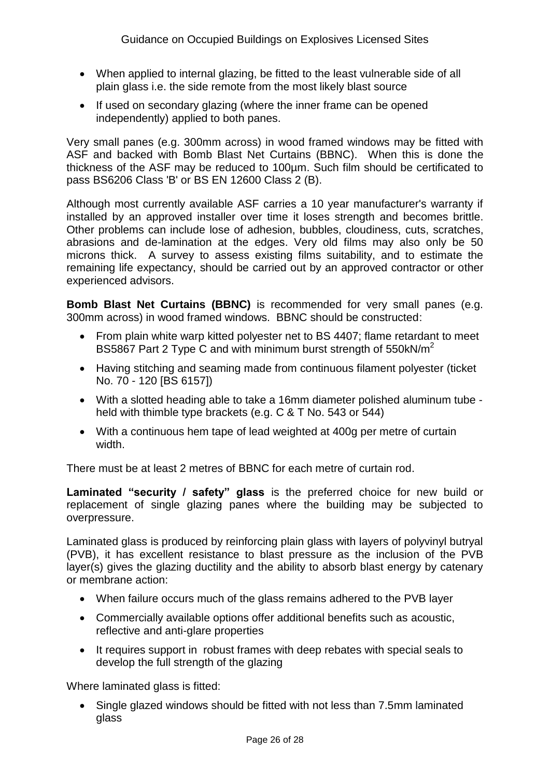- When applied to internal glazing, be fitted to the least vulnerable side of all plain glass i.e. the side remote from the most likely blast source
- If used on secondary glazing (where the inner frame can be opened independently) applied to both panes.

Very small panes (e.g. 300mm across) in wood framed windows may be fitted with ASF and backed with Bomb Blast Net Curtains (BBNC). When this is done the thickness of the ASF may be reduced to 100µm. Such film should be certificated to pass BS6206 Class 'B' or BS EN 12600 Class 2 (B).

Although most currently available ASF carries a 10 year manufacturer's warranty if installed by an approved installer over time it loses strength and becomes brittle. Other problems can include lose of adhesion, bubbles, cloudiness, cuts, scratches, abrasions and de-lamination at the edges. Very old films may also only be 50 microns thick. A survey to assess existing films suitability, and to estimate the remaining life expectancy, should be carried out by an approved contractor or other experienced advisors.

**Bomb Blast Net Curtains (BBNC)** is recommended for very small panes (e.g. 300mm across) in wood framed windows. BBNC should be constructed:

- From plain white warp kitted polyester net to BS 4407; flame retardant to meet BS5867 Part 2 Type C and with minimum burst strength of 550kN/m<sup>2</sup>
- Having stitching and seaming made from continuous filament polyester (ticket No. 70 - 120 [BS 6157])
- With a slotted heading able to take a 16mm diameter polished aluminum tube held with thimble type brackets (e.g. C & T No. 543 or 544)
- With a continuous hem tape of lead weighted at 400g per metre of curtain width.

There must be at least 2 metres of BBNC for each metre of curtain rod.

**Laminated "security / safety" glass** is the preferred choice for new build or replacement of single glazing panes where the building may be subjected to overpressure.

Laminated glass is produced by reinforcing plain glass with layers of polyvinyl butryal (PVB), it has excellent resistance to blast pressure as the inclusion of the PVB layer(s) gives the glazing ductility and the ability to absorb blast energy by catenary or membrane action:

- When failure occurs much of the glass remains adhered to the PVB layer
- Commercially available options offer additional benefits such as acoustic, reflective and anti-glare properties
- It requires support in robust frames with deep rebates with special seals to develop the full strength of the glazing

Where laminated glass is fitted:

 Single glazed windows should be fitted with not less than 7.5mm laminated glass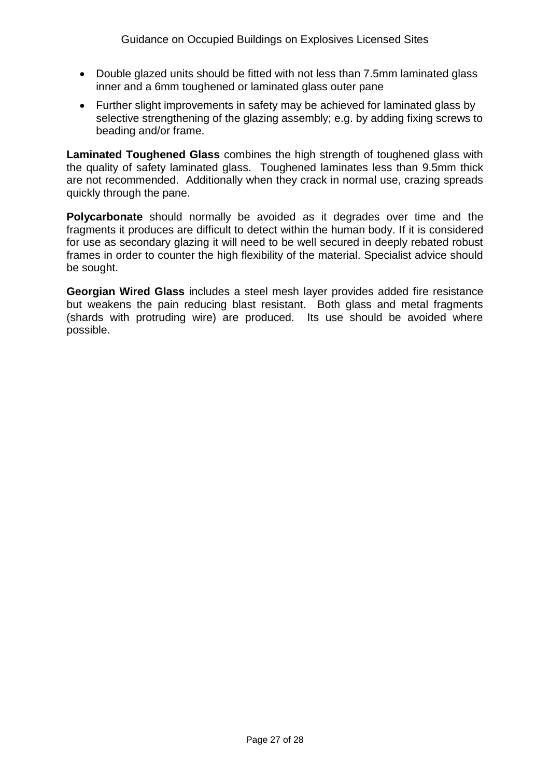- Double glazed units should be fitted with not less than 7.5mm laminated glass inner and a 6mm toughened or laminated glass outer pane
- Further slight improvements in safety may be achieved for laminated glass by selective strengthening of the glazing assembly; e.g. by adding fixing screws to beading and/or frame.

**Laminated Toughened Glass** combines the high strength of toughened glass with the quality of safety laminated glass. Toughened laminates less than 9.5mm thick are not recommended. Additionally when they crack in normal use, crazing spreads quickly through the pane.

**Polycarbonate** should normally be avoided as it degrades over time and the fragments it produces are difficult to detect within the human body. If it is considered for use as secondary glazing it will need to be well secured in deeply rebated robust frames in order to counter the high flexibility of the material. Specialist advice should be sought.

**Georgian Wired Glass** includes a steel mesh layer provides added fire resistance but weakens the pain reducing blast resistant. Both glass and metal fragments (shards with protruding wire) are produced. Its use should be avoided where possible.